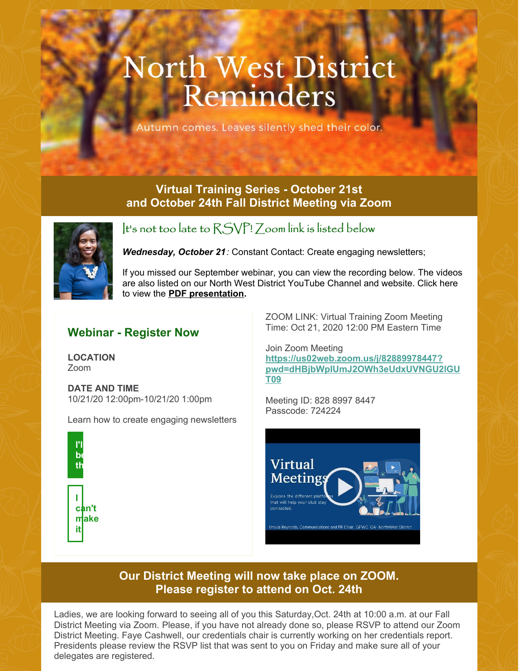# **North West District** Reminders

utumn comes. Leaves silently shed their color.

#### **Virtual Training Series - October 21st and October 24th Fall District Meeting via Zoom**



It's not too late to RSVP! Zoom link is listed below

*Wednesday, October 21:* Constant Contact: Create engaging newsletters;

If you missed our September webinar, you can view the recording below. The videos are also listed on our North West District YouTube Channel and website. Click here to view the **PDF [presentation](https://files.constantcontact.com/d8c8c931801/4215a3df-5d57-4d9f-befe-9e0cbea36497.pdf).**

### **Webinar - Register Now**

**LOCATION** Zoom

**DATE AND TIME** 10/21/20 12:00pm-10/21/20 1:00pm

Learn how to create engaging newsletters



ZOOM LINK: Virtual Training Zoom Meeting Time: Oct 21, 2020 12:00 PM Eastern Time

Join Zoom Meeting **https://us02web.zoom.us/j/82889978447? [pwd=dHBjbWpIUmJ2OWh3eUdxUVNGU2lGU](https://us02web.zoom.us/j/82889978447?pwd=dHBjbWpIUmJ2OWh3eUdxUVNGU2lGUT09) T09**

Meeting ID: 828 8997 8447 Passcode: 724224



#### **Our District Meeting will now take place on ZOOM. Please register to attend on Oct. 24th**

Ladies, we are looking forward to seeing all of you this Saturday,Oct. 24th at 10:00 a.m. at our Fall District Meeting via Zoom. Please, if you have not already done so, please RSVP to attend our Zoom District Meeting. Faye Cashwell, our credentials chair is currently working on her credentials report. Presidents please review the RSVP list that was sent to you on Friday and make sure all of your delegates are registered.